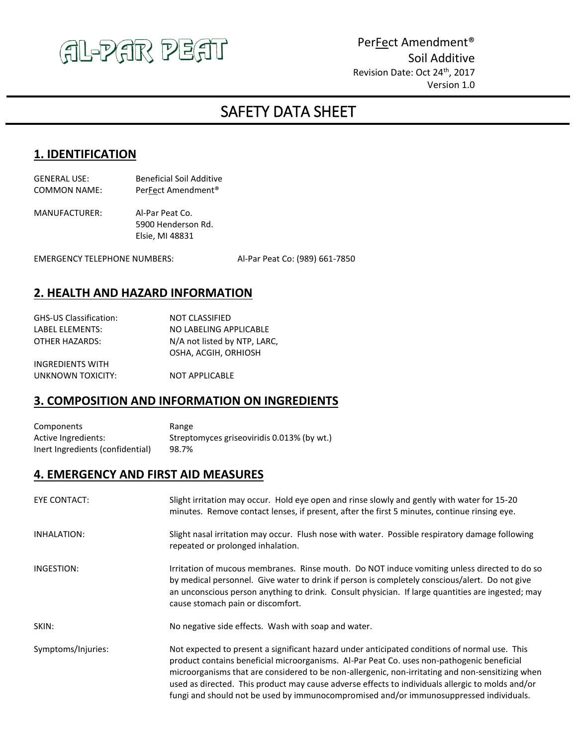

Per**Fect Amendment®** Soil Additive Revision Date: Oct 24<sup>th</sup>, 2017 Version 1.0

# j SAFETY DATA SHEET

### **1. IDENTIFICATION**

| GENERAL USE: | <b>Beneficial Soil Additive</b> |
|--------------|---------------------------------|
| COMMON NAME: | PerFect Amendment <sup>®</sup>  |

MANUFACTURER: Al-Par Peat Co. 5900 Henderson Rd. Elsie, MI 48831

EMERGENCY TELEPHONE NUMBERS: Al-Par Peat Co: (989) 661-7850

# **2. HEALTH AND HAZARD INFORMATION**

| GHS-US Classification: | <b>NOT CLASSIFIED</b>        |
|------------------------|------------------------------|
| LABEL ELEMENTS:        | NO LABELING APPLICABLE       |
| OTHER HAZARDS:         | N/A not listed by NTP, LARC, |
|                        | OSHA, ACGIH, ORHIOSH         |
| INGREDIENTS WITH       |                              |

UNKNOWN TOXICITY: NOT APPLICABLE

#### **3. COMPOSITION AND INFORMATION ON INGREDIENTS**

| Components                       | Range                                      |
|----------------------------------|--------------------------------------------|
| Active Ingredients:              | Streptomyces griseoviridis 0.013% (by wt.) |
| Inert Ingredients (confidential) | 98.7%                                      |

#### **4. EMERGENCY AND FIRST AID MEASURES**

| <b>EYE CONTACT:</b> | Slight irritation may occur. Hold eye open and rinse slowly and gently with water for 15-20<br>minutes. Remove contact lenses, if present, after the first 5 minutes, continue rinsing eye.                                                                                                                                                                                                                                                                                                   |
|---------------------|-----------------------------------------------------------------------------------------------------------------------------------------------------------------------------------------------------------------------------------------------------------------------------------------------------------------------------------------------------------------------------------------------------------------------------------------------------------------------------------------------|
| INHALATION:         | Slight nasal irritation may occur. Flush nose with water. Possible respiratory damage following<br>repeated or prolonged inhalation.                                                                                                                                                                                                                                                                                                                                                          |
| INGESTION:          | Irritation of mucous membranes. Rinse mouth. Do NOT induce vomiting unless directed to do so<br>by medical personnel. Give water to drink if person is completely conscious/alert. Do not give<br>an unconscious person anything to drink. Consult physician. If large quantities are ingested; may<br>cause stomach pain or discomfort.                                                                                                                                                      |
| SKIN:               | No negative side effects. Wash with soap and water.                                                                                                                                                                                                                                                                                                                                                                                                                                           |
| Symptoms/Injuries:  | Not expected to present a significant hazard under anticipated conditions of normal use. This<br>product contains beneficial microorganisms. Al-Par Peat Co. uses non-pathogenic beneficial<br>microorganisms that are considered to be non-allergenic, non-irritating and non-sensitizing when<br>used as directed. This product may cause adverse effects to individuals allergic to molds and/or<br>fungi and should not be used by immunocompromised and/or immunosuppressed individuals. |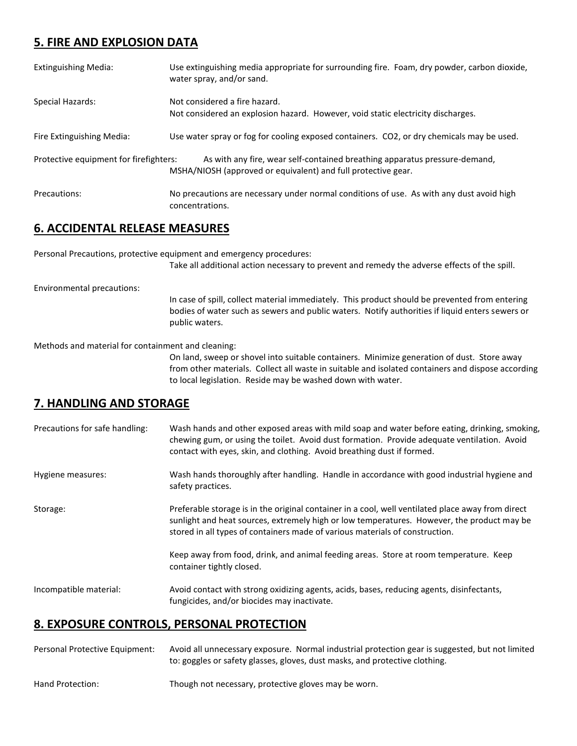# **5. FIRE AND EXPLOSION DATA**

| <b>Extinguishing Media:</b>            | Use extinguishing media appropriate for surrounding fire. Foam, dry powder, carbon dioxide,<br>water spray, and/or sand.                    |
|----------------------------------------|---------------------------------------------------------------------------------------------------------------------------------------------|
| Special Hazards:                       | Not considered a fire hazard.<br>Not considered an explosion hazard. However, void static electricity discharges.                           |
| Fire Extinguishing Media:              | Use water spray or fog for cooling exposed containers. CO2, or dry chemicals may be used.                                                   |
| Protective equipment for firefighters: | As with any fire, wear self-contained breathing apparatus pressure-demand,<br>MSHA/NIOSH (approved or equivalent) and full protective gear. |
| Precautions:                           | No precautions are necessary under normal conditions of use. As with any dust avoid high<br>concentrations.                                 |

# **6. ACCIDENTAL RELEASE MEASURES**

Personal Precautions, protective equipment and emergency procedures:

Take all additional action necessary to prevent and remedy the adverse effects of the spill.

Environmental precautions:

In case of spill, collect material immediately. This product should be prevented from entering bodies of water such as sewers and public waters. Notify authorities if liquid enters sewers or public waters.

Methods and material for containment and cleaning:

On land, sweep or shovel into suitable containers. Minimize generation of dust. Store away from other materials. Collect all waste in suitable and isolated containers and dispose according to local legislation. Reside may be washed down with water.

# **7. HANDLING AND STORAGE**

| Precautions for safe handling: | Wash hands and other exposed areas with mild soap and water before eating, drinking, smoking,<br>chewing gum, or using the toilet. Avoid dust formation. Provide adequate ventilation. Avoid<br>contact with eyes, skin, and clothing. Avoid breathing dust if formed.          |
|--------------------------------|---------------------------------------------------------------------------------------------------------------------------------------------------------------------------------------------------------------------------------------------------------------------------------|
| Hygiene measures:              | Wash hands thoroughly after handling. Handle in accordance with good industrial hygiene and<br>safety practices.                                                                                                                                                                |
| Storage:                       | Preferable storage is in the original container in a cool, well ventilated place away from direct<br>sunlight and heat sources, extremely high or low temperatures. However, the product may be<br>stored in all types of containers made of various materials of construction. |
|                                | Keep away from food, drink, and animal feeding areas. Store at room temperature. Keep<br>container tightly closed.                                                                                                                                                              |
| Incompatible material:         | Avoid contact with strong oxidizing agents, acids, bases, reducing agents, disinfectants,<br>fungicides, and/or biocides may inactivate.                                                                                                                                        |

# **8. EXPOSURE CONTROLS, PERSONAL PROTECTION**

| Personal Protective Equipment: | Avoid all unnecessary exposure. Normal industrial protection gear is suggested, but not limited<br>to: goggles or safety glasses, gloves, dust masks, and protective clothing. |
|--------------------------------|--------------------------------------------------------------------------------------------------------------------------------------------------------------------------------|
| Hand Protection:               | Though not necessary, protective gloves may be worn.                                                                                                                           |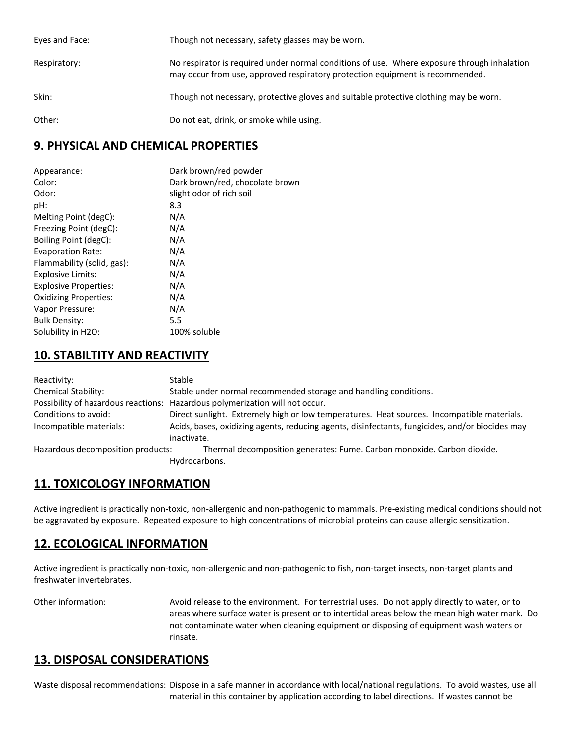| Eyes and Face: | Though not necessary, safety glasses may be worn.                                                                                                                            |
|----------------|------------------------------------------------------------------------------------------------------------------------------------------------------------------------------|
| Respiratory:   | No respirator is required under normal conditions of use. Where exposure through inhalation<br>may occur from use, approved respiratory protection equipment is recommended. |
| Skin:          | Though not necessary, protective gloves and suitable protective clothing may be worn.                                                                                        |
| Other:         | Do not eat, drink, or smoke while using.                                                                                                                                     |

### **9. PHYSICAL AND CHEMICAL PROPERTIES**

| Appearance:                  | Dark brown/red powder           |
|------------------------------|---------------------------------|
| Color:                       | Dark brown/red, chocolate brown |
| Odor:                        | slight odor of rich soil        |
| pH:                          | 8.3                             |
| Melting Point (degC):        | N/A                             |
| Freezing Point (degC):       | N/A                             |
| Boiling Point (degC):        | N/A                             |
| <b>Evaporation Rate:</b>     | N/A                             |
| Flammability (solid, gas):   | N/A                             |
| Explosive Limits:            | N/A                             |
| <b>Explosive Properties:</b> | N/A                             |
| <b>Oxidizing Properties:</b> | N/A                             |
| Vapor Pressure:              | N/A                             |
| <b>Bulk Density:</b>         | 5.5                             |
| Solubility in H2O:           | 100% soluble                    |

# **10. STABILTITY AND REACTIVITY**

| Reactivity:                       | <b>Stable</b>                                                                                   |
|-----------------------------------|-------------------------------------------------------------------------------------------------|
| <b>Chemical Stability:</b>        | Stable under normal recommended storage and handling conditions.                                |
|                                   | Possibility of hazardous reactions: Hazardous polymerization will not occur.                    |
| Conditions to avoid:              | Direct sunlight. Extremely high or low temperatures. Heat sources. Incompatible materials.      |
| Incompatible materials:           | Acids, bases, oxidizing agents, reducing agents, disinfectants, fungicides, and/or biocides may |
|                                   | inactivate.                                                                                     |
| Hazardous decomposition products: | Thermal decomposition generates: Fume. Carbon monoxide. Carbon dioxide.                         |
|                                   | Hydrocarbons.                                                                                   |

# **11. TOXICOLOGY INFORMATION**

Active ingredient is practically non-toxic, non-allergenic and non-pathogenic to mammals. Pre-existing medical conditions should not be aggravated by exposure. Repeated exposure to high concentrations of microbial proteins can cause allergic sensitization.

# **12. ECOLOGICAL INFORMATION**

Active ingredient is practically non-toxic, non-allergenic and non-pathogenic to fish, non-target insects, non-target plants and freshwater invertebrates.

Other information: Avoid release to the environment. For terrestrial uses. Do not apply directly to water, or to areas where surface water is present or to intertidal areas below the mean high water mark. Do not contaminate water when cleaning equipment or disposing of equipment wash waters or rinsate.

# **13. DISPOSAL CONSIDERATIONS**

Waste disposal recommendations: Dispose in a safe manner in accordance with local/national regulations. To avoid wastes, use all material in this container by application according to label directions. If wastes cannot be